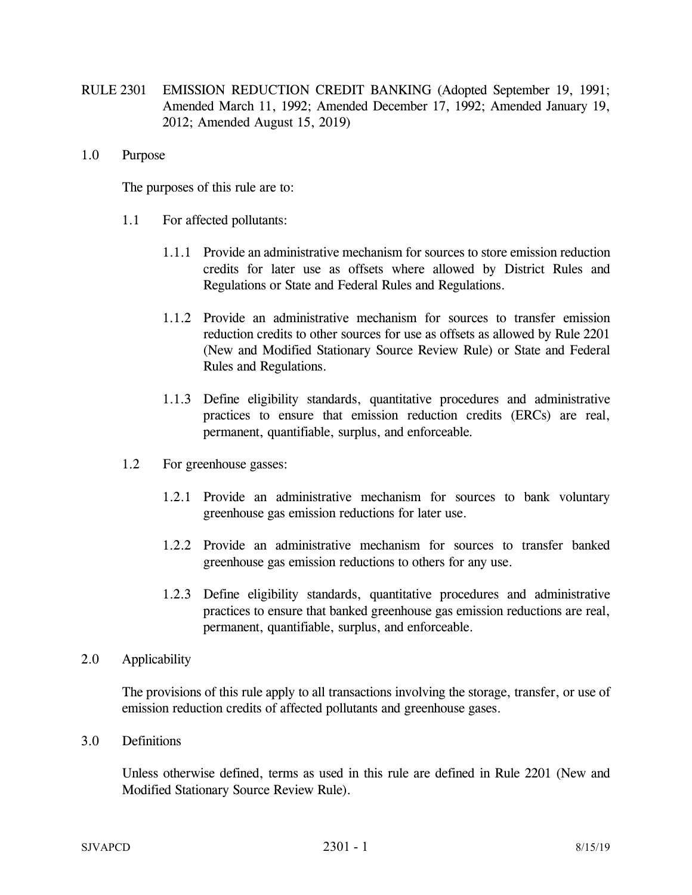- RULE 2301 EMISSION REDUCTION CREDIT BANKING (Adopted September 19, 1991; Amended March 11, 1992; Amended December 17, 1992; Amended January 19, 2012; Amended August 15, 2019)
- 1.0 Purpose

The purposes of this rule are to:

- 1.1 For affected pollutants:
	- 1.1.1 Provide an administrative mechanism for sources to store emission reduction credits for later use as offsets where allowed by District Rules and Regulations or State and Federal Rules and Regulations.
	- 1.1.2 Provide an administrative mechanism for sources to transfer emission reduction credits to other sources for use as offsets as allowed by Rule 2201 (New and Modified Stationary Source Review Rule) or State and Federal Rules and Regulations.
	- 1.1.3 Define eligibility standards, quantitative procedures and administrative practices to ensure that emission reduction credits (ERCs) are real, permanent, quantifiable, surplus, and enforceable*.*
- 1.2 For greenhouse gasses:
	- 1.2.1 Provide an administrative mechanism for sources to bank voluntary greenhouse gas emission reductions for later use.
	- 1.2.2 Provide an administrative mechanism for sources to transfer banked greenhouse gas emission reductions to others for any use.
	- 1.2.3 Define eligibility standards, quantitative procedures and administrative practices to ensure that banked greenhouse gas emission reductions are real, permanent, quantifiable, surplus, and enforceable.
- 2.0 Applicability

The provisions of this rule apply to all transactions involving the storage, transfer, or use of emission reduction credits of affected pollutants and greenhouse gases.

3.0 Definitions

Unless otherwise defined, terms as used in this rule are defined in Rule 2201 (New and Modified Stationary Source Review Rule).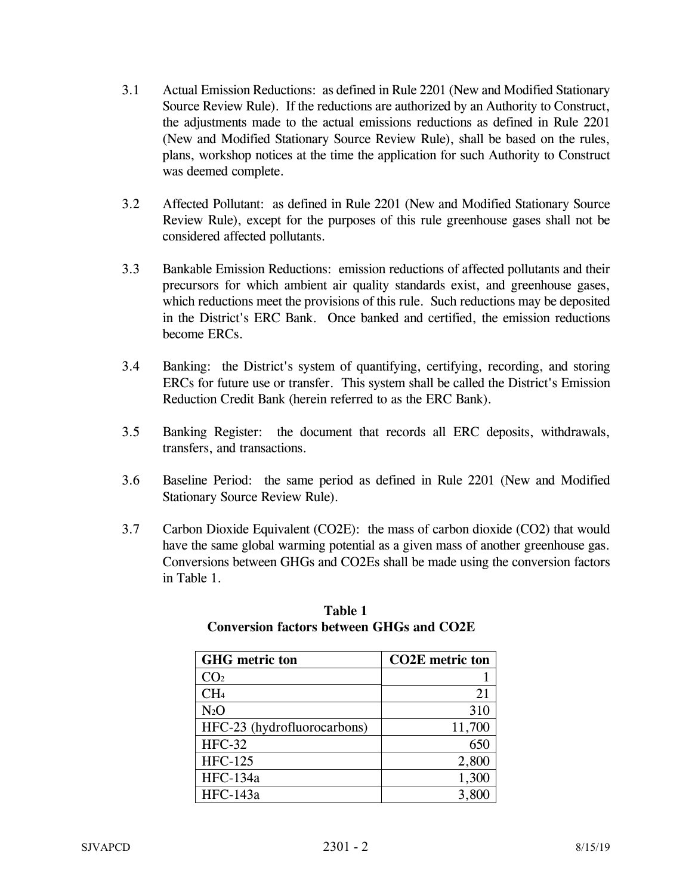- 3.1 Actual Emission Reductions: as defined in Rule 2201 (New and Modified Stationary Source Review Rule). If the reductions are authorized by an Authority to Construct, the adjustments made to the actual emissions reductions as defined in Rule 2201 (New and Modified Stationary Source Review Rule), shall be based on the rules, plans, workshop notices at the time the application for such Authority to Construct was deemed complete.
- 3.2 Affected Pollutant: as defined in Rule 2201 (New and Modified Stationary Source Review Rule), except for the purposes of this rule greenhouse gases shall not be considered affected pollutants.
- 3.3 Bankable Emission Reductions: emission reductions of affected pollutants and their precursors for which ambient air quality standards exist, and greenhouse gases, which reductions meet the provisions of this rule. Such reductions may be deposited in the District's ERC Bank. Once banked and certified, the emission reductions become ERCs.
- 3.4 Banking: the District's system of quantifying, certifying, recording, and storing ERCs for future use or transfer. This system shall be called the District's Emission Reduction Credit Bank (herein referred to as the ERC Bank).
- 3.5 Banking Register: the document that records all ERC deposits, withdrawals, transfers, and transactions.
- 3.6 Baseline Period: the same period as defined in Rule 2201 (New and Modified Stationary Source Review Rule).
- 3.7 Carbon Dioxide Equivalent (CO2E): the mass of carbon dioxide (CO2) that would have the same global warming potential as a given mass of another greenhouse gas. Conversions between GHGs and CO2Es shall be made using the conversion factors in Table 1.

| <b>GHG</b> metric ton       | <b>CO2E</b> metric ton |
|-----------------------------|------------------------|
| CO <sub>2</sub>             |                        |
| CH <sub>4</sub>             | 21                     |
| $N_2O$                      | 310                    |
| HFC-23 (hydrofluorocarbons) | 11,700                 |
| <b>HFC-32</b>               | 650                    |
| <b>HFC-125</b>              | 2,800                  |
| <b>HFC-134a</b>             | 1,300                  |
| <b>HFC-143a</b>             | 3,800                  |

## **Table 1 Conversion factors between GHGs and CO2E**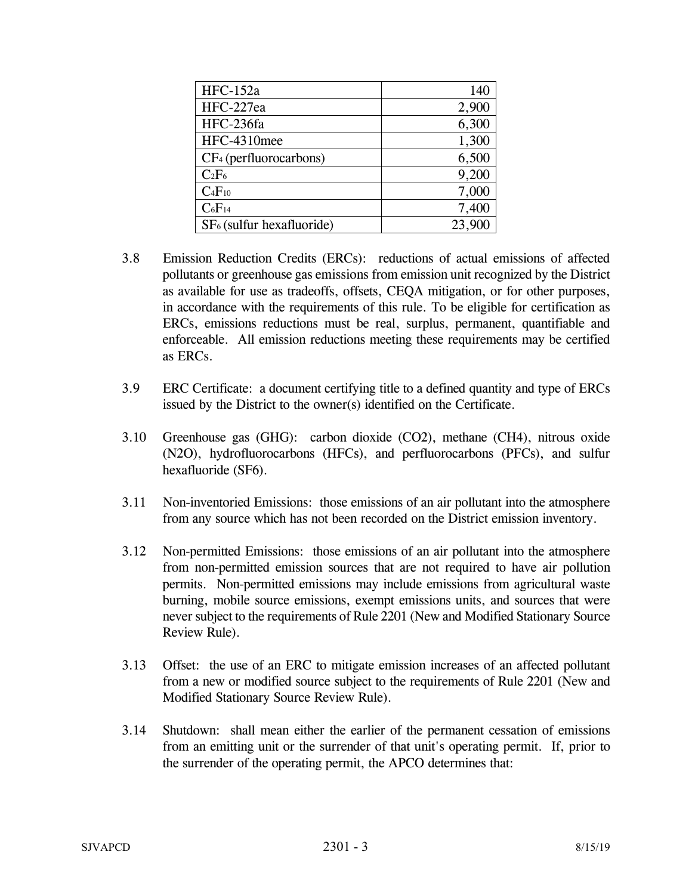| <b>HFC-152a</b>             | 140    |
|-----------------------------|--------|
| HFC-227ea                   | 2,900  |
| HFC-236fa                   | 6,300  |
| HFC-4310mee                 | 1,300  |
| $CF_4$ (perfluorocarbons)   | 6,500  |
| $C_2F_6$                    | 9,200  |
| $C_4F_{10}$                 | 7,000  |
| $C_6F_{14}$                 | 7,400  |
| $SF6$ (sulfur hexafluoride) | 23,900 |

- 3.8 Emission Reduction Credits (ERCs): reductions of actual emissions of affected pollutants or greenhouse gas emissions from emission unit recognized by the District as available for use as tradeoffs, offsets, CEQA mitigation, or for other purposes, in accordance with the requirements of this rule. To be eligible for certification as ERCs, emissions reductions must be real, surplus, permanent, quantifiable and enforceable. All emission reductions meeting these requirements may be certified as ERCs.
- 3.9 ERC Certificate: a document certifying title to a defined quantity and type of ERCs issued by the District to the owner(s) identified on the Certificate.
- 3.10 Greenhouse gas (GHG): carbon dioxide (CO2), methane (CH4), nitrous oxide (N2O), hydrofluorocarbons (HFCs), and perfluorocarbons (PFCs), and sulfur hexafluoride (SF6).
- 3.11 Non-inventoried Emissions: those emissions of an air pollutant into the atmosphere from any source which has not been recorded on the District emission inventory.
- 3.12 Non-permitted Emissions: those emissions of an air pollutant into the atmosphere from non-permitted emission sources that are not required to have air pollution permits. Non-permitted emissions may include emissions from agricultural waste burning, mobile source emissions, exempt emissions units, and sources that were never subject to the requirements of Rule 2201 (New and Modified Stationary Source Review Rule).
- 3.13 Offset: the use of an ERC to mitigate emission increases of an affected pollutant from a new or modified source subject to the requirements of Rule 2201 (New and Modified Stationary Source Review Rule).
- 3.14 Shutdown: shall mean either the earlier of the permanent cessation of emissions from an emitting unit or the surrender of that unit's operating permit. If, prior to the surrender of the operating permit, the APCO determines that: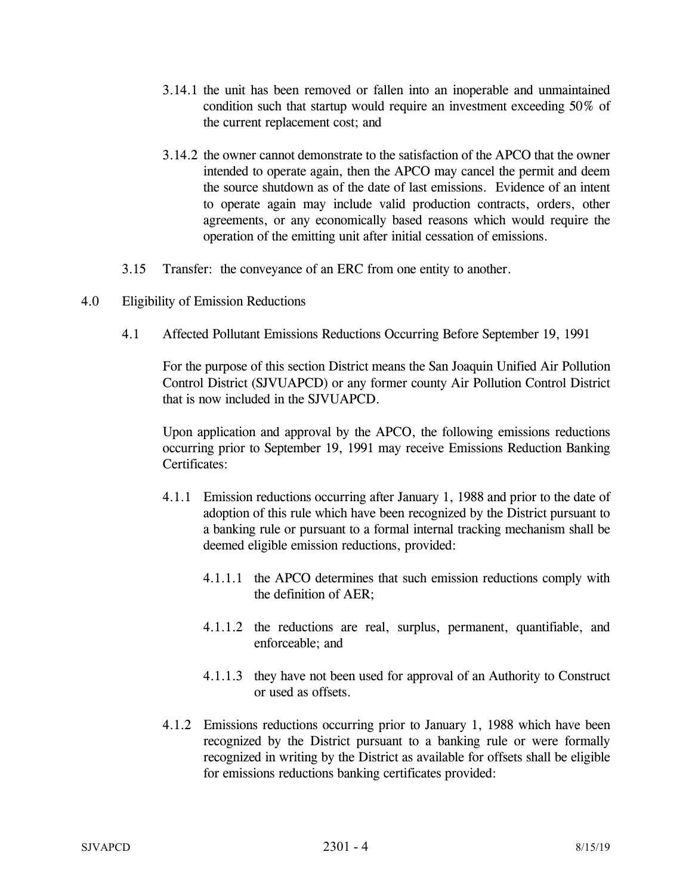- 3.14.1 the unit has been removed or fallen into an inoperable and unmaintained condition such that startup would require an investment exceeding 50% of the current replacement cost; and
- 3.14.2 the owner cannot demonstrate to the satisfaction of the APCO that the owner intended to operate again, then the APCO may cancel the permit and deem the source shutdown as of the date of last emissions. Evidence of an intent to operate again may include valid production contracts, orders, other agreements, or any economically based reasons which would require the operation of the emitting unit after initial cessation of emissions.
- 3.15 Transfer: the conveyance of an ERC from one entity to another.
- 4.0 Eligibility of Emission Reductions
	- 4.1 Affected Pollutant Emissions Reductions Occurring Before September 19, 1991

 For the purpose of this section District means the San Joaquin Unified Air Pollution Control District (SJVUAPCD) or any former county Air Pollution Control District that is now included in the SJVUAPCD.

 Upon application and approval by the APCO, the following emissions reductions occurring prior to September 19, 1991 may receive Emissions Reduction Banking Certificates:

- 4.1.1 Emission reductions occurring after January 1, 1988 and prior to the date of adoption of this rule which have been recognized by the District pursuant to a banking rule or pursuant to a formal internal tracking mechanism shall be deemed eligible emission reductions, provided:
	- 4.1.1.1 the APCO determines that such emission reductions comply with the definition of AER;
	- 4.1.1.2 the reductions are real, surplus, permanent, quantifiable, and enforceable; and
	- 4.1.1.3 they have not been used for approval of an Authority to Construct or used as offsets.
- 4.1.2 Emissions reductions occurring prior to January 1, 1988 which have been recognized by the District pursuant to a banking rule or were formally recognized in writing by the District as available for offsets shall be eligible for emissions reductions banking certificates provided: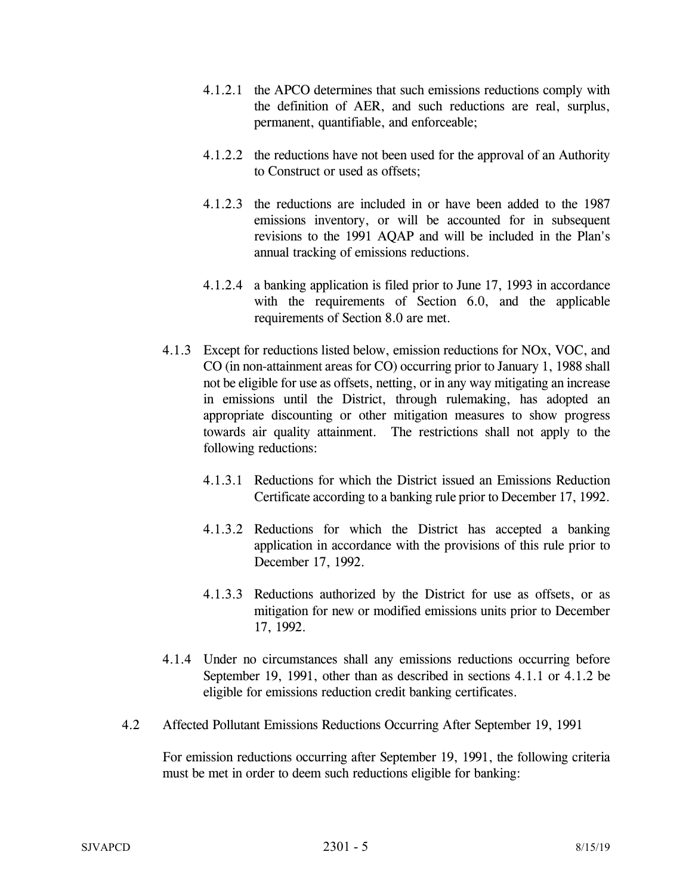- 4.1.2.1 the APCO determines that such emissions reductions comply with the definition of AER, and such reductions are real, surplus, permanent, quantifiable, and enforceable;
- 4.1.2.2 the reductions have not been used for the approval of an Authority to Construct or used as offsets;
- 4.1.2.3 the reductions are included in or have been added to the 1987 emissions inventory, or will be accounted for in subsequent revisions to the 1991 AQAP and will be included in the Plan's annual tracking of emissions reductions.
- 4.1.2.4 a banking application is filed prior to June 17, 1993 in accordance with the requirements of Section 6.0, and the applicable requirements of Section 8.0 are met.
- 4.1.3 Except for reductions listed below, emission reductions for NOx, VOC, and CO (in non-attainment areas for CO) occurring prior to January 1, 1988 shall not be eligible for use as offsets, netting, or in any way mitigating an increase in emissions until the District, through rulemaking, has adopted an appropriate discounting or other mitigation measures to show progress towards air quality attainment. The restrictions shall not apply to the following reductions:
	- 4.1.3.1 Reductions for which the District issued an Emissions Reduction Certificate according to a banking rule prior to December 17, 1992.
	- 4.1.3.2 Reductions for which the District has accepted a banking application in accordance with the provisions of this rule prior to December 17, 1992.
	- 4.1.3.3 Reductions authorized by the District for use as offsets, or as mitigation for new or modified emissions units prior to December 17, 1992.
- 4.1.4 Under no circumstances shall any emissions reductions occurring before September 19, 1991, other than as described in sections 4.1.1 or 4.1.2 be eligible for emissions reduction credit banking certificates.
- 4.2 Affected Pollutant Emissions Reductions Occurring After September 19, 1991

 For emission reductions occurring after September 19, 1991, the following criteria must be met in order to deem such reductions eligible for banking: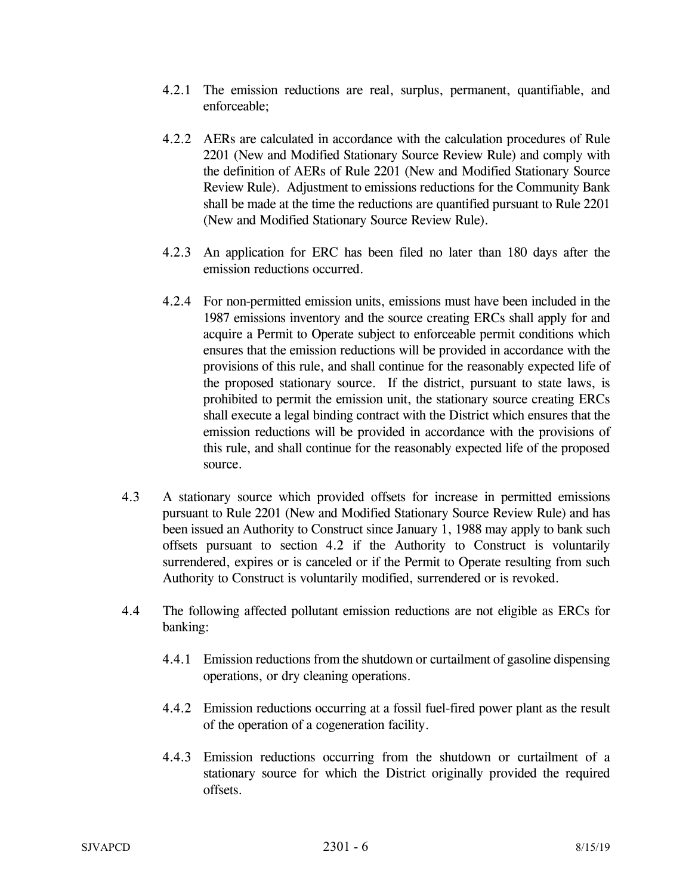- 4.2.1 The emission reductions are real, surplus, permanent, quantifiable, and enforceable;
- 4.2.2 AERs are calculated in accordance with the calculation procedures of Rule 2201 (New and Modified Stationary Source Review Rule) and comply with the definition of AERs of Rule 2201 (New and Modified Stationary Source Review Rule). Adjustment to emissions reductions for the Community Bank shall be made at the time the reductions are quantified pursuant to Rule 2201 (New and Modified Stationary Source Review Rule).
- 4.2.3 An application for ERC has been filed no later than 180 days after the emission reductions occurred.
- 4.2.4 For non-permitted emission units, emissions must have been included in the 1987 emissions inventory and the source creating ERCs shall apply for and acquire a Permit to Operate subject to enforceable permit conditions which ensures that the emission reductions will be provided in accordance with the provisions of this rule, and shall continue for the reasonably expected life of the proposed stationary source. If the district, pursuant to state laws, is prohibited to permit the emission unit, the stationary source creating ERCs shall execute a legal binding contract with the District which ensures that the emission reductions will be provided in accordance with the provisions of this rule, and shall continue for the reasonably expected life of the proposed source.
- 4.3 A stationary source which provided offsets for increase in permitted emissions pursuant to Rule 2201 (New and Modified Stationary Source Review Rule) and has been issued an Authority to Construct since January 1, 1988 may apply to bank such offsets pursuant to section 4.2 if the Authority to Construct is voluntarily surrendered, expires or is canceled or if the Permit to Operate resulting from such Authority to Construct is voluntarily modified, surrendered or is revoked.
- 4.4 The following affected pollutant emission reductions are not eligible as ERCs for banking:
	- 4.4.1 Emission reductions from the shutdown or curtailment of gasoline dispensing operations, or dry cleaning operations.
	- 4.4.2 Emission reductions occurring at a fossil fuel-fired power plant as the result of the operation of a cogeneration facility.
	- 4.4.3 Emission reductions occurring from the shutdown or curtailment of a stationary source for which the District originally provided the required offsets.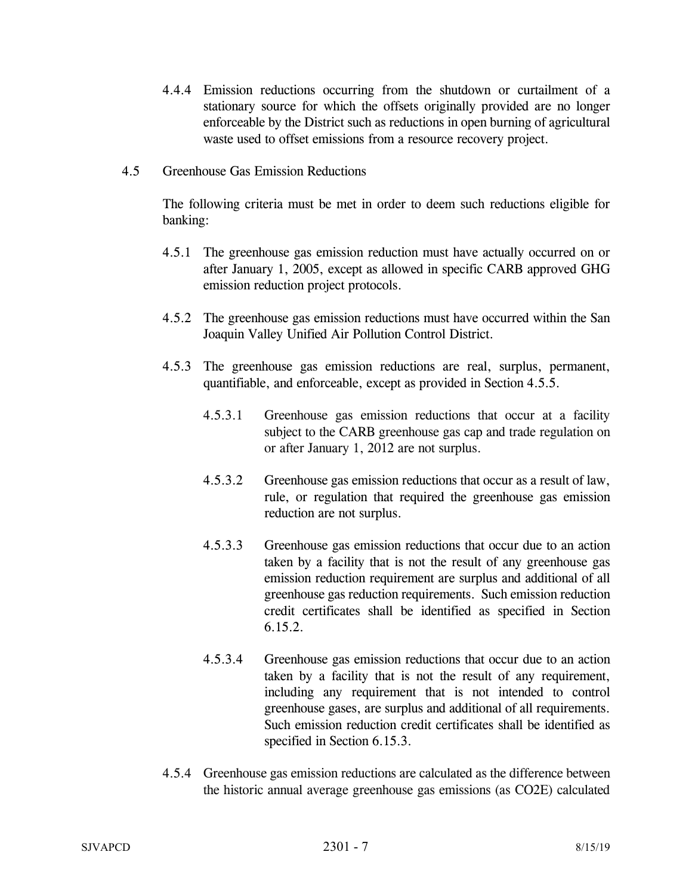- 4.4.4 Emission reductions occurring from the shutdown or curtailment of a stationary source for which the offsets originally provided are no longer enforceable by the District such as reductions in open burning of agricultural waste used to offset emissions from a resource recovery project.
- 4.5 Greenhouse Gas Emission Reductions

The following criteria must be met in order to deem such reductions eligible for banking:

- 4.5.1 The greenhouse gas emission reduction must have actually occurred on or after January 1, 2005, except as allowed in specific CARB approved GHG emission reduction project protocols.
- 4.5.2 The greenhouse gas emission reductions must have occurred within the San Joaquin Valley Unified Air Pollution Control District.
- 4.5.3 The greenhouse gas emission reductions are real, surplus, permanent, quantifiable, and enforceable, except as provided in Section 4.5.5.
	- 4.5.3.1 Greenhouse gas emission reductions that occur at a facility subject to the CARB greenhouse gas cap and trade regulation on or after January 1, 2012 are not surplus.
	- 4.5.3.2 Greenhouse gas emission reductions that occur as a result of law, rule, or regulation that required the greenhouse gas emission reduction are not surplus.
	- 4.5.3.3 Greenhouse gas emission reductions that occur due to an action taken by a facility that is not the result of any greenhouse gas emission reduction requirement are surplus and additional of all greenhouse gas reduction requirements. Such emission reduction credit certificates shall be identified as specified in Section 6.15.2.
	- 4.5.3.4 Greenhouse gas emission reductions that occur due to an action taken by a facility that is not the result of any requirement, including any requirement that is not intended to control greenhouse gases, are surplus and additional of all requirements. Such emission reduction credit certificates shall be identified as specified in Section 6.15.3.
- 4.5.4 Greenhouse gas emission reductions are calculated as the difference between the historic annual average greenhouse gas emissions (as CO2E) calculated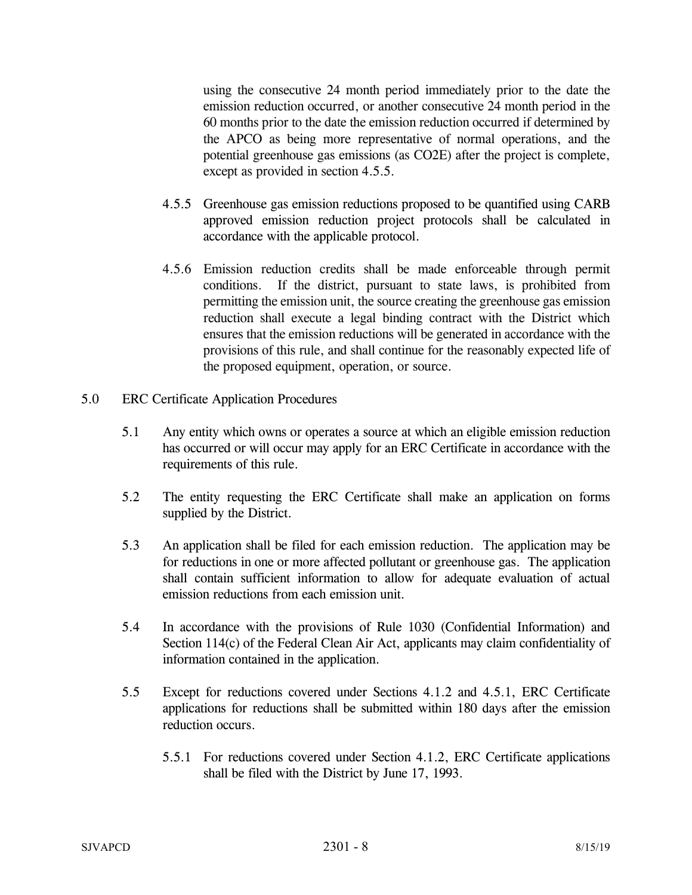using the consecutive 24 month period immediately prior to the date the emission reduction occurred, or another consecutive 24 month period in the 60 months prior to the date the emission reduction occurred if determined by the APCO as being more representative of normal operations, and the potential greenhouse gas emissions (as CO2E) after the project is complete, except as provided in section 4.5.5.

- 4.5.5 Greenhouse gas emission reductions proposed to be quantified using CARB approved emission reduction project protocols shall be calculated in accordance with the applicable protocol.
- 4.5.6 Emission reduction credits shall be made enforceable through permit conditions. If the district, pursuant to state laws, is prohibited from permitting the emission unit, the source creating the greenhouse gas emission reduction shall execute a legal binding contract with the District which ensures that the emission reductions will be generated in accordance with the provisions of this rule, and shall continue for the reasonably expected life of the proposed equipment, operation, or source.
- 5.0 ERC Certificate Application Procedures
	- 5.1 Any entity which owns or operates a source at which an eligible emission reduction has occurred or will occur may apply for an ERC Certificate in accordance with the requirements of this rule.
	- 5.2 The entity requesting the ERC Certificate shall make an application on forms supplied by the District.
	- 5.3 An application shall be filed for each emission reduction. The application may be for reductions in one or more affected pollutant or greenhouse gas. The application shall contain sufficient information to allow for adequate evaluation of actual emission reductions from each emission unit.
	- 5.4 In accordance with the provisions of Rule 1030 (Confidential Information) and Section 114(c) of the Federal Clean Air Act, applicants may claim confidentiality of information contained in the application.
	- 5.5 Except for reductions covered under Sections 4.1.2 and 4.5.1, ERC Certificate applications for reductions shall be submitted within 180 days after the emission reduction occurs.
		- 5.5.1 For reductions covered under Section 4.1.2, ERC Certificate applications shall be filed with the District by June 17, 1993.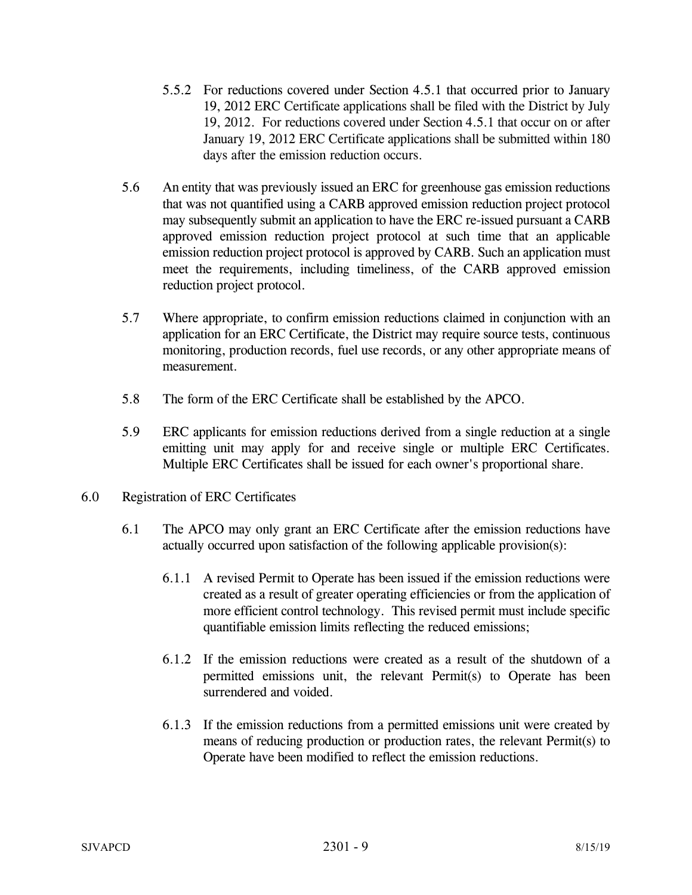- 5.5.2 For reductions covered under Section 4.5.1 that occurred prior to January 19, 2012 ERC Certificate applications shall be filed with the District by July 19, 2012. For reductions covered under Section 4.5.1 that occur on or after January 19, 2012 ERC Certificate applications shall be submitted within 180 days after the emission reduction occurs.
- 5.6 An entity that was previously issued an ERC for greenhouse gas emission reductions that was not quantified using a CARB approved emission reduction project protocol may subsequently submit an application to have the ERC re-issued pursuant a CARB approved emission reduction project protocol at such time that an applicable emission reduction project protocol is approved by CARB. Such an application must meet the requirements, including timeliness, of the CARB approved emission reduction project protocol.
- 5.7 Where appropriate, to confirm emission reductions claimed in conjunction with an application for an ERC Certificate, the District may require source tests, continuous monitoring, production records, fuel use records, or any other appropriate means of measurement.
- 5.8 The form of the ERC Certificate shall be established by the APCO.
- 5.9 ERC applicants for emission reductions derived from a single reduction at a single emitting unit may apply for and receive single or multiple ERC Certificates. Multiple ERC Certificates shall be issued for each owner's proportional share.
- 6.0 Registration of ERC Certificates
	- 6.1 The APCO may only grant an ERC Certificate after the emission reductions have actually occurred upon satisfaction of the following applicable provision(s):
		- 6.1.1 A revised Permit to Operate has been issued if the emission reductions were created as a result of greater operating efficiencies or from the application of more efficient control technology. This revised permit must include specific quantifiable emission limits reflecting the reduced emissions;
		- 6.1.2 If the emission reductions were created as a result of the shutdown of a permitted emissions unit, the relevant Permit(s) to Operate has been surrendered and voided.
		- 6.1.3 If the emission reductions from a permitted emissions unit were created by means of reducing production or production rates, the relevant Permit(s) to Operate have been modified to reflect the emission reductions.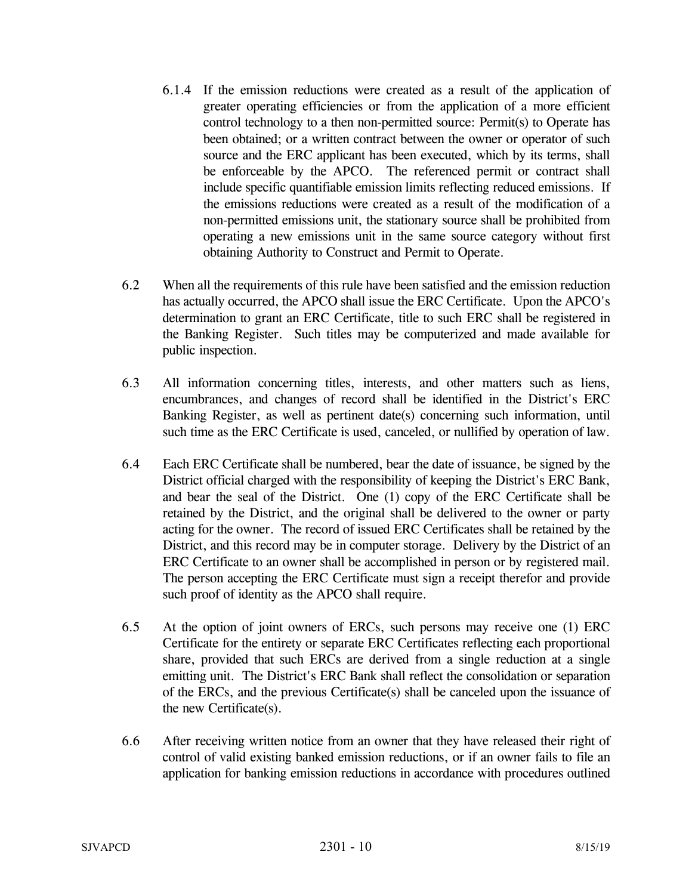- 6.1.4 If the emission reductions were created as a result of the application of greater operating efficiencies or from the application of a more efficient control technology to a then non-permitted source: Permit(s) to Operate has been obtained; or a written contract between the owner or operator of such source and the ERC applicant has been executed, which by its terms, shall be enforceable by the APCO. The referenced permit or contract shall include specific quantifiable emission limits reflecting reduced emissions. If the emissions reductions were created as a result of the modification of a non-permitted emissions unit, the stationary source shall be prohibited from operating a new emissions unit in the same source category without first obtaining Authority to Construct and Permit to Operate.
- 6.2 When all the requirements of this rule have been satisfied and the emission reduction has actually occurred, the APCO shall issue the ERC Certificate. Upon the APCO's determination to grant an ERC Certificate, title to such ERC shall be registered in the Banking Register. Such titles may be computerized and made available for public inspection.
- 6.3 All information concerning titles, interests, and other matters such as liens, encumbrances, and changes of record shall be identified in the District's ERC Banking Register, as well as pertinent date(s) concerning such information, until such time as the ERC Certificate is used, canceled, or nullified by operation of law.
- 6.4 Each ERC Certificate shall be numbered, bear the date of issuance, be signed by the District official charged with the responsibility of keeping the District's ERC Bank, and bear the seal of the District. One (1) copy of the ERC Certificate shall be retained by the District, and the original shall be delivered to the owner or party acting for the owner. The record of issued ERC Certificates shall be retained by the District, and this record may be in computer storage. Delivery by the District of an ERC Certificate to an owner shall be accomplished in person or by registered mail. The person accepting the ERC Certificate must sign a receipt therefor and provide such proof of identity as the APCO shall require.
- 6.5 At the option of joint owners of ERCs, such persons may receive one (1) ERC Certificate for the entirety or separate ERC Certificates reflecting each proportional share, provided that such ERCs are derived from a single reduction at a single emitting unit. The District's ERC Bank shall reflect the consolidation or separation of the ERCs, and the previous Certificate(s) shall be canceled upon the issuance of the new Certificate(s).
- 6.6 After receiving written notice from an owner that they have released their right of control of valid existing banked emission reductions, or if an owner fails to file an application for banking emission reductions in accordance with procedures outlined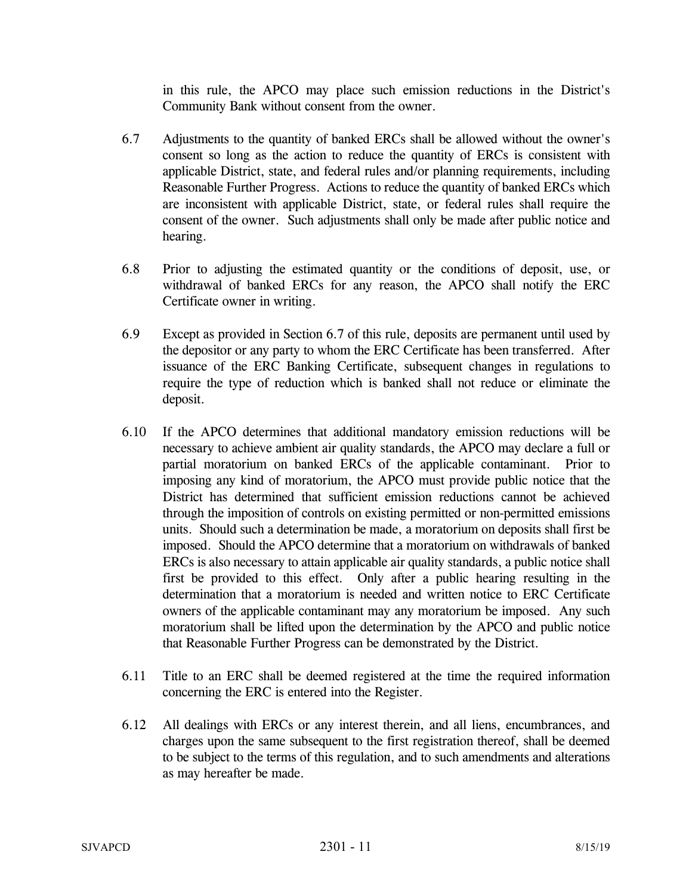in this rule, the APCO may place such emission reductions in the District's Community Bank without consent from the owner.

- 6.7 Adjustments to the quantity of banked ERCs shall be allowed without the owner's consent so long as the action to reduce the quantity of ERCs is consistent with applicable District, state, and federal rules and/or planning requirements, including Reasonable Further Progress. Actions to reduce the quantity of banked ERCs which are inconsistent with applicable District, state, or federal rules shall require the consent of the owner. Such adjustments shall only be made after public notice and hearing.
- 6.8 Prior to adjusting the estimated quantity or the conditions of deposit, use, or withdrawal of banked ERCs for any reason, the APCO shall notify the ERC Certificate owner in writing.
- 6.9 Except as provided in Section 6.7 of this rule, deposits are permanent until used by the depositor or any party to whom the ERC Certificate has been transferred. After issuance of the ERC Banking Certificate, subsequent changes in regulations to require the type of reduction which is banked shall not reduce or eliminate the deposit.
- 6.10 If the APCO determines that additional mandatory emission reductions will be necessary to achieve ambient air quality standards, the APCO may declare a full or partial moratorium on banked ERCs of the applicable contaminant. Prior to imposing any kind of moratorium, the APCO must provide public notice that the District has determined that sufficient emission reductions cannot be achieved through the imposition of controls on existing permitted or non-permitted emissions units. Should such a determination be made, a moratorium on deposits shall first be imposed. Should the APCO determine that a moratorium on withdrawals of banked ERCs is also necessary to attain applicable air quality standards, a public notice shall first be provided to this effect. Only after a public hearing resulting in the determination that a moratorium is needed and written notice to ERC Certificate owners of the applicable contaminant may any moratorium be imposed. Any such moratorium shall be lifted upon the determination by the APCO and public notice that Reasonable Further Progress can be demonstrated by the District.
- 6.11 Title to an ERC shall be deemed registered at the time the required information concerning the ERC is entered into the Register.
- 6.12 All dealings with ERCs or any interest therein, and all liens, encumbrances, and charges upon the same subsequent to the first registration thereof, shall be deemed to be subject to the terms of this regulation, and to such amendments and alterations as may hereafter be made.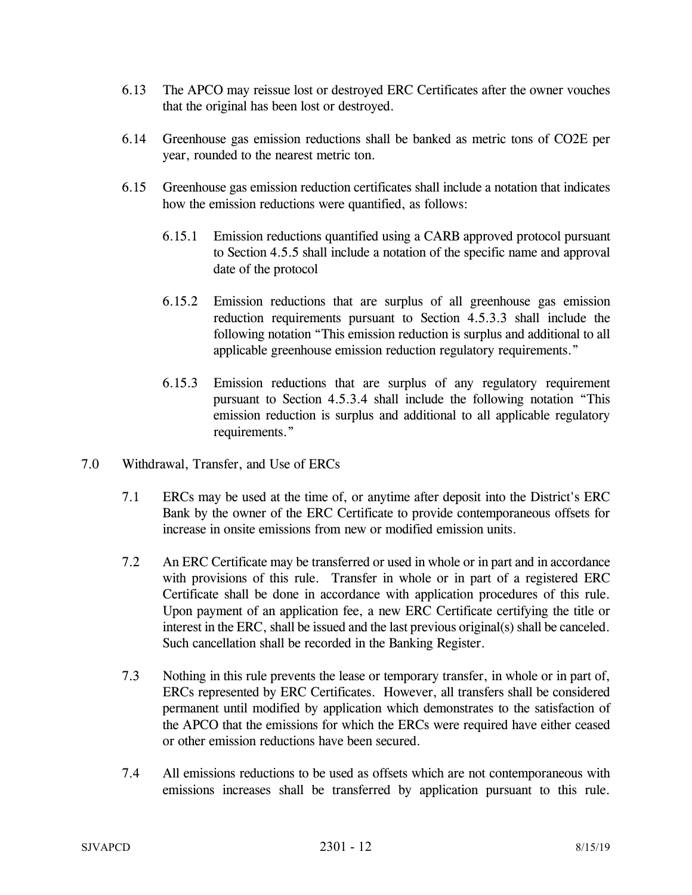- 6.13 The APCO may reissue lost or destroyed ERC Certificates after the owner vouches that the original has been lost or destroyed.
- 6.14 Greenhouse gas emission reductions shall be banked as metric tons of CO2E per year, rounded to the nearest metric ton.
- 6.15 Greenhouse gas emission reduction certificates shall include a notation that indicates how the emission reductions were quantified, as follows:
	- 6.15.1 Emission reductions quantified using a CARB approved protocol pursuant to Section 4.5.5 shall include a notation of the specific name and approval date of the protocol
	- 6.15.2 Emission reductions that are surplus of all greenhouse gas emission reduction requirements pursuant to Section 4.5.3.3 shall include the following notation "This emission reduction is surplus and additional to all applicable greenhouse emission reduction regulatory requirements."
	- 6.15.3 Emission reductions that are surplus of any regulatory requirement pursuant to Section 4.5.3.4 shall include the following notation "This emission reduction is surplus and additional to all applicable regulatory requirements."
- 7.0 Withdrawal, Transfer, and Use of ERCs
	- 7.1 ERCs may be used at the time of, or anytime after deposit into the District's ERC Bank by the owner of the ERC Certificate to provide contemporaneous offsets for increase in onsite emissions from new or modified emission units.
	- 7.2 An ERC Certificate may be transferred or used in whole or in part and in accordance with provisions of this rule. Transfer in whole or in part of a registered ERC Certificate shall be done in accordance with application procedures of this rule. Upon payment of an application fee, a new ERC Certificate certifying the title or interest in the ERC, shall be issued and the last previous original(s) shall be canceled. Such cancellation shall be recorded in the Banking Register.
	- 7.3 Nothing in this rule prevents the lease or temporary transfer, in whole or in part of, ERCs represented by ERC Certificates. However, all transfers shall be considered permanent until modified by application which demonstrates to the satisfaction of the APCO that the emissions for which the ERCs were required have either ceased or other emission reductions have been secured.
	- 7.4 All emissions reductions to be used as offsets which are not contemporaneous with emissions increases shall be transferred by application pursuant to this rule.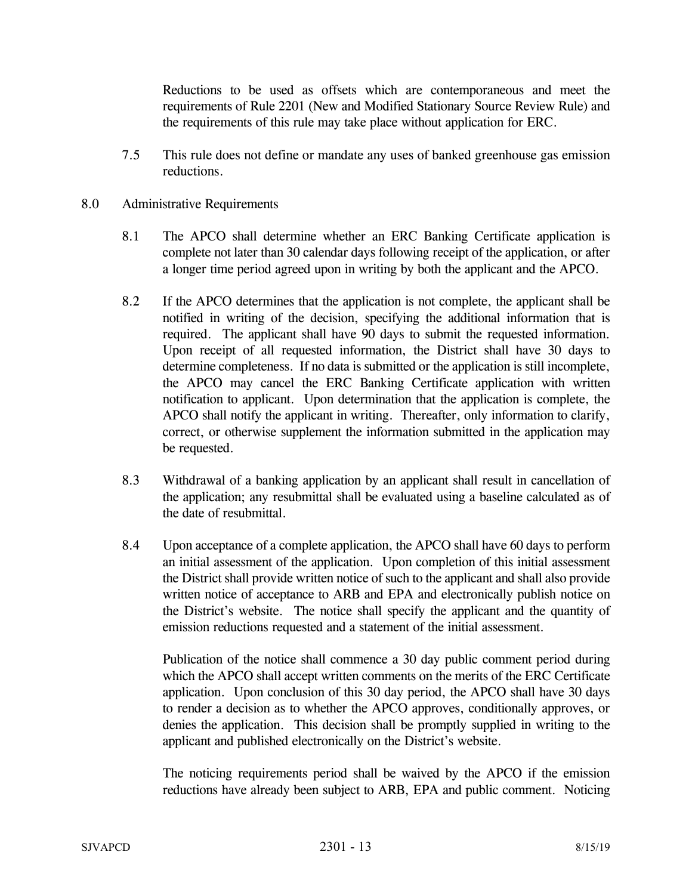Reductions to be used as offsets which are contemporaneous and meet the requirements of Rule 2201 (New and Modified Stationary Source Review Rule) and the requirements of this rule may take place without application for ERC.

- 7.5 This rule does not define or mandate any uses of banked greenhouse gas emission reductions.
- 8.0 Administrative Requirements
	- 8.1 The APCO shall determine whether an ERC Banking Certificate application is complete not later than 30 calendar days following receipt of the application, or after a longer time period agreed upon in writing by both the applicant and the APCO.
	- 8.2 If the APCO determines that the application is not complete, the applicant shall be notified in writing of the decision, specifying the additional information that is required. The applicant shall have 90 days to submit the requested information. Upon receipt of all requested information, the District shall have 30 days to determine completeness. If no data is submitted or the application is still incomplete, the APCO may cancel the ERC Banking Certificate application with written notification to applicant. Upon determination that the application is complete, the APCO shall notify the applicant in writing. Thereafter, only information to clarify, correct, or otherwise supplement the information submitted in the application may be requested.
	- 8.3 Withdrawal of a banking application by an applicant shall result in cancellation of the application; any resubmittal shall be evaluated using a baseline calculated as of the date of resubmittal.
	- 8.4 Upon acceptance of a complete application, the APCO shall have 60 days to perform an initial assessment of the application. Upon completion of this initial assessment the District shall provide written notice of such to the applicant and shall also provide written notice of acceptance to ARB and EPA and electronically publish notice on the District's website. The notice shall specify the applicant and the quantity of emission reductions requested and a statement of the initial assessment.

 Publication of the notice shall commence a 30 day public comment period during which the APCO shall accept written comments on the merits of the ERC Certificate application. Upon conclusion of this 30 day period, the APCO shall have 30 days to render a decision as to whether the APCO approves, conditionally approves, or denies the application. This decision shall be promptly supplied in writing to the applicant and published electronically on the District's website.

 The noticing requirements period shall be waived by the APCO if the emission reductions have already been subject to ARB, EPA and public comment. Noticing